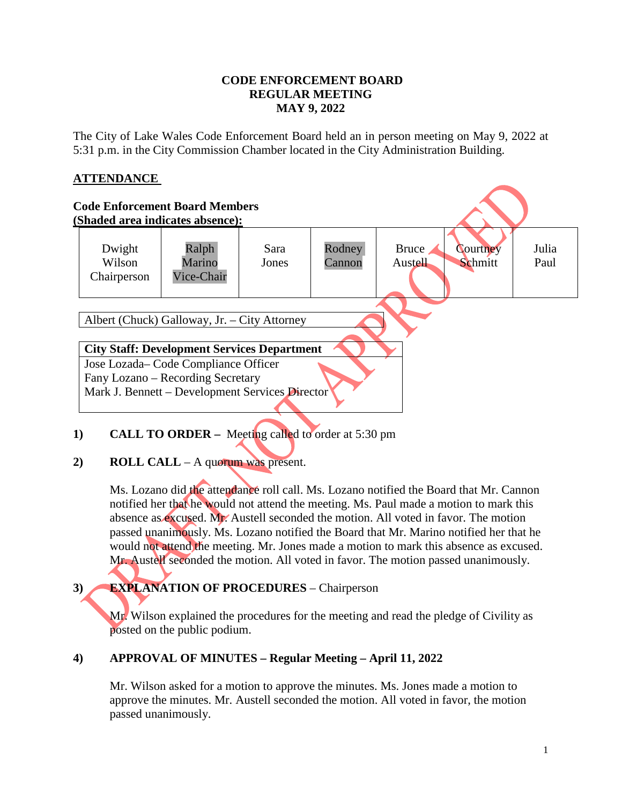#### **CODE ENFORCEMENT BOARD REGULAR MEETING MAY 9, 2022**

The City of Lake Wales Code Enforcement Board held an in person meeting on May 9, 2022 at 5:31 p.m. in the City Commission Chamber located in the City Administration Building.

## **ATTENDANCE**



- **1) CALL TO ORDER –** Meeting called to order at 5:30 pm
- **2) ROLL CALL** A quorum was present.

Ms. Lozano did the attendance roll call. Ms. Lozano notified the Board that Mr. Cannon notified her that he would not attend the meeting. Ms. Paul made a motion to mark this absence as excused. Mr. Austell seconded the motion. All voted in favor. The motion passed unanimously. Ms. Lozano notified the Board that Mr. Marino notified her that he would not attend the meeting. Mr. Jones made a motion to mark this absence as excused. Mr. Austell seconded the motion. All voted in favor. The motion passed unanimously.

## **3) EXPLANATION OF PROCEDURES** – Chairperson

Mr. Wilson explained the procedures for the meeting and read the pledge of Civility as posted on the public podium.

## **4) APPROVAL OF MINUTES – Regular Meeting – April 11, 2022**

Mr. Wilson asked for a motion to approve the minutes. Ms. Jones made a motion to approve the minutes. Mr. Austell seconded the motion. All voted in favor, the motion passed unanimously.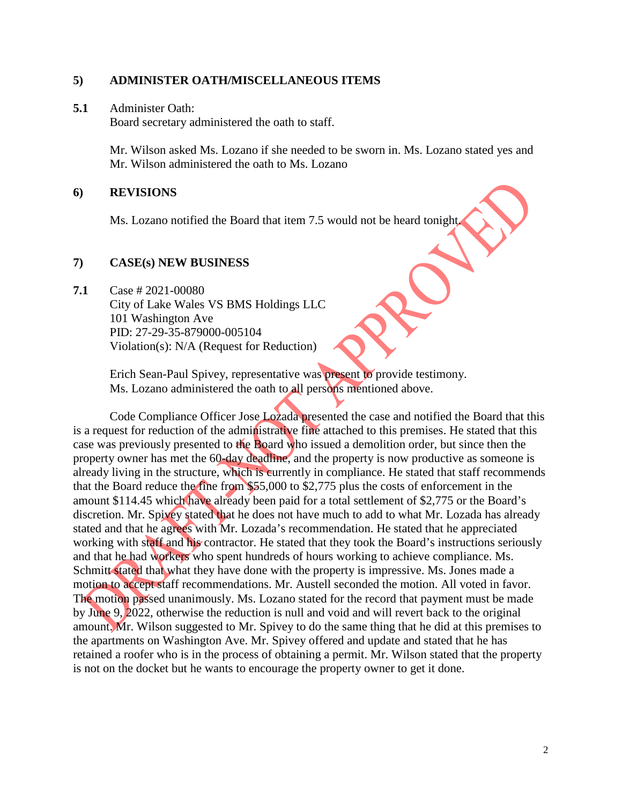#### **5) ADMINISTER OATH/MISCELLANEOUS ITEMS**

#### **5.1** Administer Oath:

Board secretary administered the oath to staff.

Mr. Wilson asked Ms. Lozano if she needed to be sworn in. Ms. Lozano stated yes and Mr. Wilson administered the oath to Ms. Lozano

#### **6) REVISIONS**

Ms. Lozano notified the Board that item 7.5 would not be heard tonight.

#### **7) CASE(s) NEW BUSINESS**

**7.1** Case # 2021-00080 City of Lake Wales VS BMS Holdings LLC 101 Washington Ave PID: 27-29-35-879000-005104 Violation(s): N/A (Request for Reduction)

> Erich Sean-Paul Spivey, representative was present to provide testimony. Ms. Lozano administered the oath to all persons mentioned above.

Code Compliance Officer Jose Lozada presented the case and notified the Board that this is a request for reduction of the administrative fine attached to this premises. He stated that this case was previously presented to the Board who issued a demolition order, but since then the property owner has met the 60-day deadline, and the property is now productive as someone is already living in the structure, which is currently in compliance. He stated that staff recommends that the Board reduce the fine from \$55,000 to \$2,775 plus the costs of enforcement in the amount \$114.45 which have already been paid for a total settlement of \$2,775 or the Board's discretion. Mr. Spivey stated that he does not have much to add to what Mr. Lozada has already stated and that he agrees with Mr. Lozada's recommendation. He stated that he appreciated working with staff and his contractor. He stated that they took the Board's instructions seriously and that he had workers who spent hundreds of hours working to achieve compliance. Ms. Schmitt stated that what they have done with the property is impressive. Ms. Jones made a motion to accept staff recommendations. Mr. Austell seconded the motion. All voted in favor. The motion passed unanimously. Ms. Lozano stated for the record that payment must be made by June 9, 2022, otherwise the reduction is null and void and will revert back to the original amount. Mr. Wilson suggested to Mr. Spivey to do the same thing that he did at this premises to the apartments on Washington Ave. Mr. Spivey offered and update and stated that he has retained a roofer who is in the process of obtaining a permit. Mr. Wilson stated that the property is not on the docket but he wants to encourage the property owner to get it done.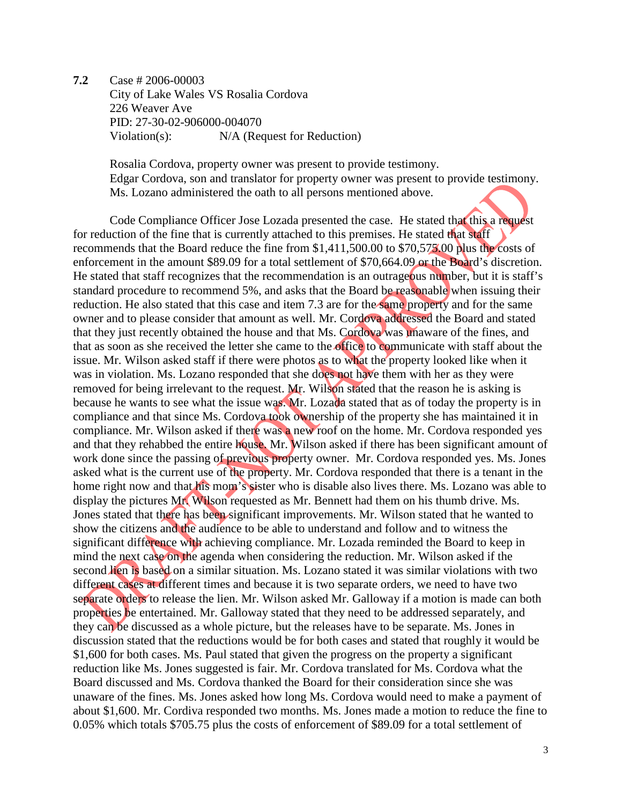**7.2** Case # 2006-00003 City of Lake Wales VS Rosalia Cordova 226 Weaver Ave PID: 27-30-02-906000-004070 Violation(s): N/A (Request for Reduction)

> Rosalia Cordova, property owner was present to provide testimony. Edgar Cordova, son and translator for property owner was present to provide testimony. Ms. Lozano administered the oath to all persons mentioned above.

Code Compliance Officer Jose Lozada presented the case. He stated that this a request for reduction of the fine that is currently attached to this premises. He stated that staff recommends that the Board reduce the fine from \$1,411,500.00 to \$70,575.00 plus the costs of enforcement in the amount \$89.09 for a total settlement of \$70,664.09 or the Board's discretion. He stated that staff recognizes that the recommendation is an outrageous number, but it is staff's standard procedure to recommend 5%, and asks that the Board be reasonable when issuing their reduction. He also stated that this case and item 7.3 are for the same property and for the same owner and to please consider that amount as well. Mr. Cordova addressed the Board and stated that they just recently obtained the house and that Ms. Cordova was unaware of the fines, and that as soon as she received the letter she came to the office to communicate with staff about the issue. Mr. Wilson asked staff if there were photos as to what the property looked like when it was in violation. Ms. Lozano responded that she does not have them with her as they were removed for being irrelevant to the request. Mr. Wilson stated that the reason he is asking is because he wants to see what the issue was. Mr. Lozada stated that as of today the property is in compliance and that since Ms. Cordova took ownership of the property she has maintained it in compliance. Mr. Wilson asked if there was a new roof on the home. Mr. Cordova responded yes and that they rehabbed the entire house. Mr. Wilson asked if there has been significant amount of work done since the passing of previous property owner. Mr. Cordova responded yes. Ms. Jones asked what is the current use of the property. Mr. Cordova responded that there is a tenant in the home right now and that his mom's sister who is disable also lives there. Ms. Lozano was able to display the pictures Mr. Wilson requested as Mr. Bennett had them on his thumb drive. Ms. Jones stated that there has been significant improvements. Mr. Wilson stated that he wanted to show the citizens and the audience to be able to understand and follow and to witness the significant difference with achieving compliance. Mr. Lozada reminded the Board to keep in mind the next case on the agenda when considering the reduction. Mr. Wilson asked if the second lien is based on a similar situation. Ms. Lozano stated it was similar violations with two different cases at different times and because it is two separate orders, we need to have two separate orders to release the lien. Mr. Wilson asked Mr. Galloway if a motion is made can both properties be entertained. Mr. Galloway stated that they need to be addressed separately, and they can be discussed as a whole picture, but the releases have to be separate. Ms. Jones in discussion stated that the reductions would be for both cases and stated that roughly it would be \$1,600 for both cases. Ms. Paul stated that given the progress on the property a significant reduction like Ms. Jones suggested is fair. Mr. Cordova translated for Ms. Cordova what the Board discussed and Ms. Cordova thanked the Board for their consideration since she was unaware of the fines. Ms. Jones asked how long Ms. Cordova would need to make a payment of about \$1,600. Mr. Cordiva responded two months. Ms. Jones made a motion to reduce the fine to 0.05% which totals \$705.75 plus the costs of enforcement of \$89.09 for a total settlement of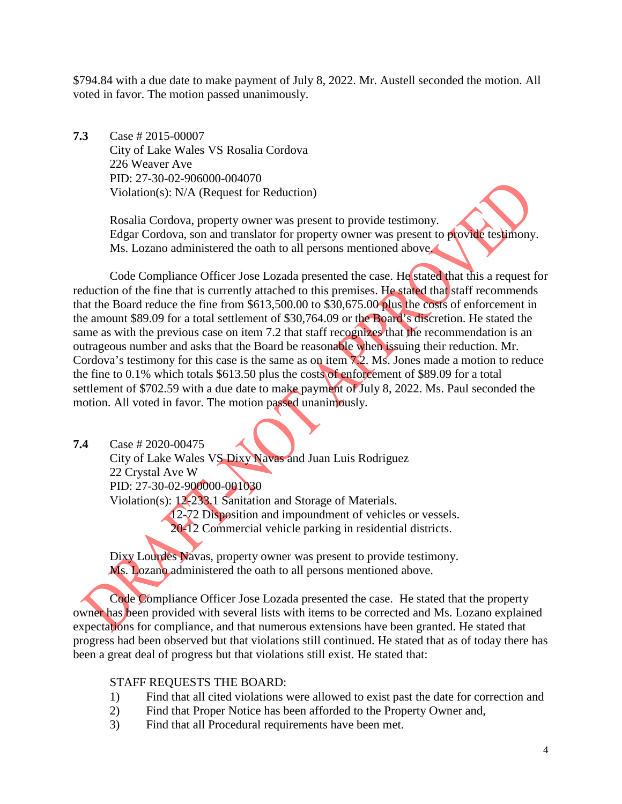\$794.84 with a due date to make payment of July 8, 2022. Mr. Austell seconded the motion. All voted in favor. The motion passed unanimously.

**7.3** Case # 2015-00007 City of Lake Wales VS Rosalia Cordova 226 Weaver Ave PID: 27-30-02-906000-004070 Violation(s): N/A (Request for Reduction)

> Rosalia Cordova, property owner was present to provide testimony. Edgar Cordova, son and translator for property owner was present to provide testimony. Ms. Lozano administered the oath to all persons mentioned above.

Code Compliance Officer Jose Lozada presented the case. He stated that this a request for reduction of the fine that is currently attached to this premises. He stated that staff recommends that the Board reduce the fine from \$613,500.00 to \$30,675.00 plus the costs of enforcement in the amount \$89.09 for a total settlement of \$30,764.09 or the Board's discretion. He stated the same as with the previous case on item 7.2 that staff recognizes that the recommendation is an outrageous number and asks that the Board be reasonable when issuing their reduction. Mr. Cordova's testimony for this case is the same as on item 7.2. Ms. Jones made a motion to reduce the fine to 0.1% which totals \$613.50 plus the costs of enforcement of \$89.09 for a total settlement of \$702.59 with a due date to make payment of July 8, 2022. Ms. Paul seconded the motion. All voted in favor. The motion passed unanimously.

#### **7.4** Case # 2020-00475

City of Lake Wales VS Dixy Navas and Juan Luis Rodriguez 22 Crystal Ave W PID: 27-30-02-900000-001030 Violation(s): 12-233.1 Sanitation and Storage of Materials.

12-72 Disposition and impoundment of vehicles or vessels.

20-12 Commercial vehicle parking in residential districts.

Dixy Lourdes Navas, property owner was present to provide testimony. Ms. Lozano administered the oath to all persons mentioned above.

Code Compliance Officer Jose Lozada presented the case. He stated that the property owner has been provided with several lists with items to be corrected and Ms. Lozano explained expectations for compliance, and that numerous extensions have been granted. He stated that progress had been observed but that violations still continued. He stated that as of today there has been a great deal of progress but that violations still exist. He stated that:

#### STAFF REQUESTS THE BOARD:

- 1) Find that all cited violations were allowed to exist past the date for correction and
- 2) Find that Proper Notice has been afforded to the Property Owner and,
- 3) Find that all Procedural requirements have been met.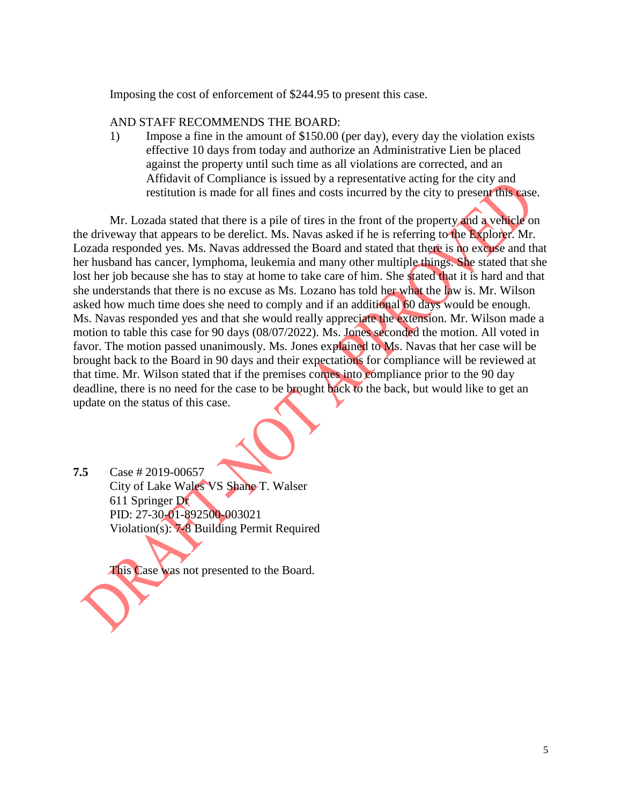Imposing the cost of enforcement of \$244.95 to present this case.

#### AND STAFF RECOMMENDS THE BOARD:

1) Impose a fine in the amount of \$150.00 (per day), every day the violation exists effective 10 days from today and authorize an Administrative Lien be placed against the property until such time as all violations are corrected, and an Affidavit of Compliance is issued by a representative acting for the city and restitution is made for all fines and costs incurred by the city to present this case.

Mr. Lozada stated that there is a pile of tires in the front of the property and a vehicle on the driveway that appears to be derelict. Ms. Navas asked if he is referring to the Explorer. Mr. Lozada responded yes. Ms. Navas addressed the Board and stated that there is no excuse and that her husband has cancer, lymphoma, leukemia and many other multiple things. She stated that she lost her job because she has to stay at home to take care of him. She stated that it is hard and that she understands that there is no excuse as Ms. Lozano has told her what the law is. Mr. Wilson asked how much time does she need to comply and if an additional 60 days would be enough. Ms. Navas responded yes and that she would really appreciate the extension. Mr. Wilson made a motion to table this case for 90 days (08/07/2022). Ms. Jones seconded the motion. All voted in favor. The motion passed unanimously. Ms. Jones explained to Ms. Navas that her case will be brought back to the Board in 90 days and their expectations for compliance will be reviewed at that time. Mr. Wilson stated that if the premises comes into compliance prior to the 90 day deadline, there is no need for the case to be brought back to the back, but would like to get an update on the status of this case.

**7.5** Case # 2019-00657 City of Lake Wales VS Shane T. Walser 611 Springer Dr PID: 27-30-01-892500-003021 Violation(s): 7-8 Building Permit Required

This Case was not presented to the Board.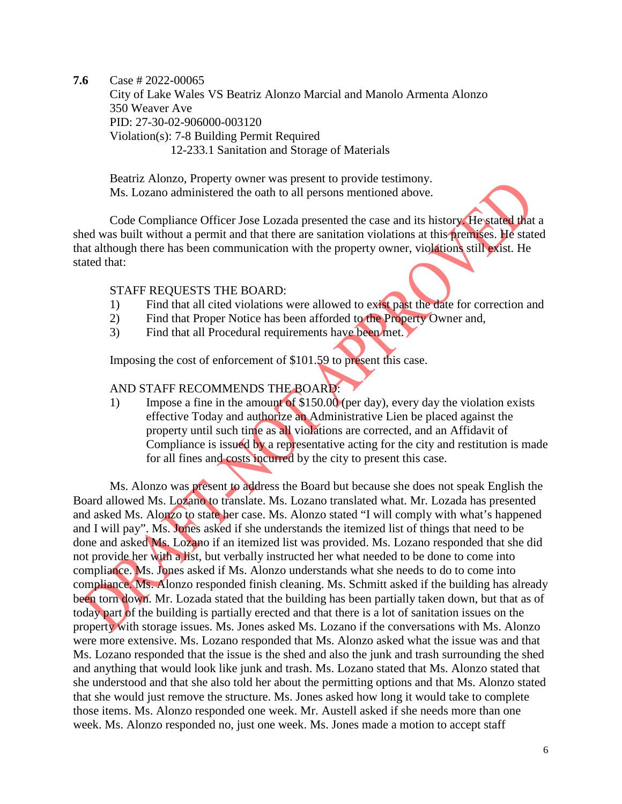**7.6** Case # 2022-00065

City of Lake Wales VS Beatriz Alonzo Marcial and Manolo Armenta Alonzo 350 Weaver Ave PID: 27-30-02-906000-003120 Violation(s): 7-8 Building Permit Required 12-233.1 Sanitation and Storage of Materials

Beatriz Alonzo, Property owner was present to provide testimony. Ms. Lozano administered the oath to all persons mentioned above.

Code Compliance Officer Jose Lozada presented the case and its history. He stated that a shed was built without a permit and that there are sanitation violations at this premises. He stated that although there has been communication with the property owner, violations still exist. He stated that:

STAFF REQUESTS THE BOARD:

- 1) Find that all cited violations were allowed to exist past the date for correction and
- 2) Find that Proper Notice has been afforded to the Property Owner and,
- 3) Find that all Procedural requirements have been met.

Imposing the cost of enforcement of \$101.59 to present this case.

#### AND STAFF RECOMMENDS THE BOARD:

1) Impose a fine in the amount of \$150.00 (per day), every day the violation exists effective Today and authorize an Administrative Lien be placed against the property until such time as all violations are corrected, and an Affidavit of Compliance is issued by a representative acting for the city and restitution is made for all fines and costs incurred by the city to present this case.

Ms. Alonzo was present to address the Board but because she does not speak English the Board allowed Ms. Lozano to translate. Ms. Lozano translated what. Mr. Lozada has presented and asked Ms. Alonzo to state her case. Ms. Alonzo stated "I will comply with what's happened and I will pay". Ms. Jones asked if she understands the itemized list of things that need to be done and asked Ms. Lozano if an itemized list was provided. Ms. Lozano responded that she did not provide her with a list, but verbally instructed her what needed to be done to come into compliance. Ms. Jones asked if Ms. Alonzo understands what she needs to do to come into compliance. Ms. Alonzo responded finish cleaning. Ms. Schmitt asked if the building has already been torn down. Mr. Lozada stated that the building has been partially taken down, but that as of today part of the building is partially erected and that there is a lot of sanitation issues on the property with storage issues. Ms. Jones asked Ms. Lozano if the conversations with Ms. Alonzo were more extensive. Ms. Lozano responded that Ms. Alonzo asked what the issue was and that Ms. Lozano responded that the issue is the shed and also the junk and trash surrounding the shed and anything that would look like junk and trash. Ms. Lozano stated that Ms. Alonzo stated that she understood and that she also told her about the permitting options and that Ms. Alonzo stated that she would just remove the structure. Ms. Jones asked how long it would take to complete those items. Ms. Alonzo responded one week. Mr. Austell asked if she needs more than one week. Ms. Alonzo responded no, just one week. Ms. Jones made a motion to accept staff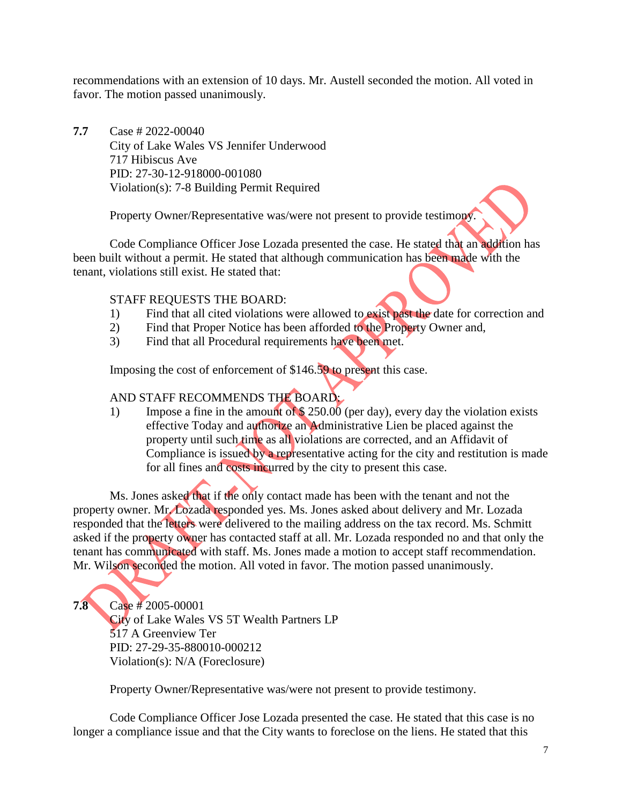recommendations with an extension of 10 days. Mr. Austell seconded the motion. All voted in favor. The motion passed unanimously.

**7.7** Case # 2022-00040 City of Lake Wales VS Jennifer Underwood 717 Hibiscus Ave PID: 27-30-12-918000-001080 Violation(s): 7-8 Building Permit Required

Property Owner/Representative was/were not present to provide testimony.

Code Compliance Officer Jose Lozada presented the case. He stated that an addition has been built without a permit. He stated that although communication has been made with the tenant, violations still exist. He stated that:

#### STAFF REQUESTS THE BOARD:

- 1) Find that all cited violations were allowed to exist past the date for correction and
- 2) Find that Proper Notice has been afforded to the Property Owner and,
- 3) Find that all Procedural requirements have been met.

Imposing the cost of enforcement of \$146.59 to present this case.

## AND STAFF RECOMMENDS THE BOARD:

1) Impose a fine in the amount of \$ 250.00 (per day), every day the violation exists effective Today and authorize an Administrative Lien be placed against the property until such time as all violations are corrected, and an Affidavit of Compliance is issued by a representative acting for the city and restitution is made for all fines and costs incurred by the city to present this case.

Ms. Jones asked that if the only contact made has been with the tenant and not the property owner. Mr. Lozada responded yes. Ms. Jones asked about delivery and Mr. Lozada responded that the letters were delivered to the mailing address on the tax record. Ms. Schmitt asked if the property owner has contacted staff at all. Mr. Lozada responded no and that only the tenant has communicated with staff. Ms. Jones made a motion to accept staff recommendation. Mr. Wilson seconded the motion. All voted in favor. The motion passed unanimously.

**7.8** Case # 2005-00001 City of Lake Wales VS 5T Wealth Partners LP 517 A Greenview Ter PID: 27-29-35-880010-000212 Violation(s): N/A (Foreclosure)

Property Owner/Representative was/were not present to provide testimony.

Code Compliance Officer Jose Lozada presented the case. He stated that this case is no longer a compliance issue and that the City wants to foreclose on the liens. He stated that this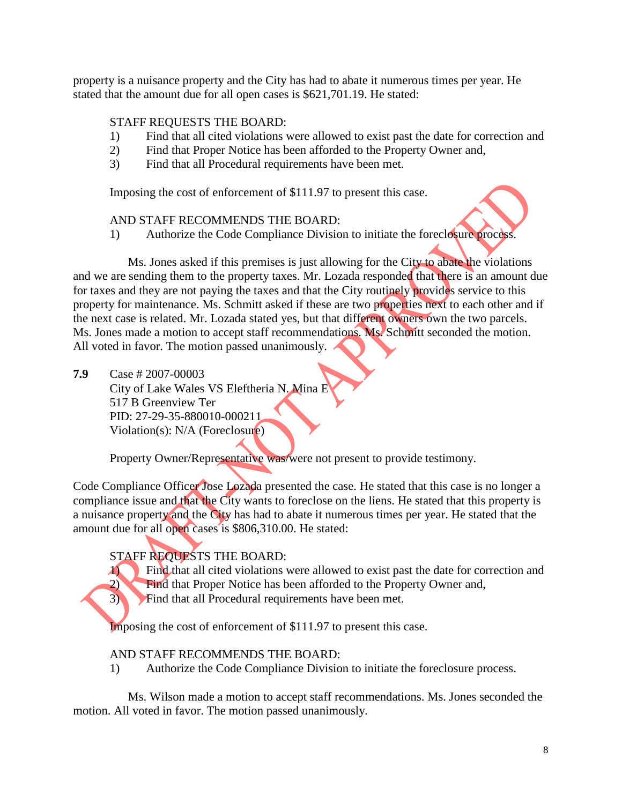property is a nuisance property and the City has had to abate it numerous times per year. He stated that the amount due for all open cases is \$621,701.19. He stated:

## STAFF REQUESTS THE BOARD:

- 1) Find that all cited violations were allowed to exist past the date for correction and
- 2) Find that Proper Notice has been afforded to the Property Owner and,
- 3) Find that all Procedural requirements have been met.

Imposing the cost of enforcement of \$111.97 to present this case.

#### AND STAFF RECOMMENDS THE BOARD:

1) Authorize the Code Compliance Division to initiate the foreclosure process.

Ms. Jones asked if this premises is just allowing for the City to abate the violations and we are sending them to the property taxes. Mr. Lozada responded that there is an amount due for taxes and they are not paying the taxes and that the City routinely provides service to this property for maintenance. Ms. Schmitt asked if these are two properties next to each other and if the next case is related. Mr. Lozada stated yes, but that different owners own the two parcels. Ms. Jones made a motion to accept staff recommendations. Ms. Schmitt seconded the motion. All voted in favor. The motion passed unanimously.

**7.9** Case # 2007-00003

City of Lake Wales VS Eleftheria N. Mina E 517 B Greenview Ter PID: 27-29-35-880010-000211 Violation(s): N/A (Foreclosure)

Property Owner/Representative was/were not present to provide testimony.

Code Compliance Officer Jose Lozada presented the case. He stated that this case is no longer a compliance issue and that the City wants to foreclose on the liens. He stated that this property is a nuisance property and the City has had to abate it numerous times per year. He stated that the amount due for all open cases is \$806,310.00. He stated:

## STAFF REQUESTS THE BOARD:

1) Find that all cited violations were allowed to exist past the date for correction and 2) Find that Proper Notice has been afforded to the Property Owner and,

3) Find that all Procedural requirements have been met.

Imposing the cost of enforcement of \$111.97 to present this case.

#### AND STAFF RECOMMENDS THE BOARD:

1) Authorize the Code Compliance Division to initiate the foreclosure process.

Ms. Wilson made a motion to accept staff recommendations. Ms. Jones seconded the motion. All voted in favor. The motion passed unanimously.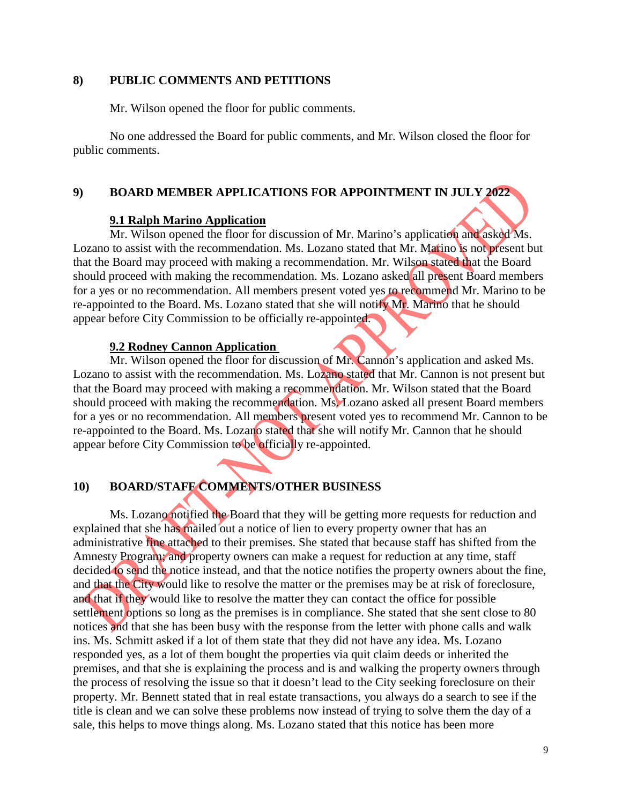#### **8) PUBLIC COMMENTS AND PETITIONS**

Mr. Wilson opened the floor for public comments.

No one addressed the Board for public comments, and Mr. Wilson closed the floor for public comments.

## **9) BOARD MEMBER APPLICATIONS FOR APPOINTMENT IN JULY 2022**

#### **9.1 Ralph Marino Application**

Mr. Wilson opened the floor for discussion of Mr. Marino's application and asked Ms. Lozano to assist with the recommendation. Ms. Lozano stated that Mr. Marino is not present but that the Board may proceed with making a recommendation. Mr. Wilson stated that the Board should proceed with making the recommendation. Ms. Lozano asked all present Board members for a yes or no recommendation. All members present voted yes to recommend Mr. Marino to be re-appointed to the Board. Ms. Lozano stated that she will notify Mr. Marino that he should appear before City Commission to be officially re-appointed.

#### **9.2 Rodney Cannon Application**

Mr. Wilson opened the floor for discussion of Mr. Cannon's application and asked Ms. Lozano to assist with the recommendation. Ms. Lozano stated that Mr. Cannon is not present but that the Board may proceed with making a recommendation. Mr. Wilson stated that the Board should proceed with making the recommendation. Ms. Lozano asked all present Board members for a yes or no recommendation. All members present voted yes to recommend Mr. Cannon to be re-appointed to the Board. Ms. Lozano stated that she will notify Mr. Cannon that he should appear before City Commission to be officially re-appointed.

## **10) BOARD/STAFF COMMENTS/OTHER BUSINESS**

Ms. Lozano notified the Board that they will be getting more requests for reduction and explained that she has mailed out a notice of lien to every property owner that has an administrative fine attached to their premises. She stated that because staff has shifted from the Amnesty Program; and property owners can make a request for reduction at any time, staff decided to send the notice instead, and that the notice notifies the property owners about the fine, and that the City would like to resolve the matter or the premises may be at risk of foreclosure, and that if they would like to resolve the matter they can contact the office for possible settlement options so long as the premises is in compliance. She stated that she sent close to 80 notices and that she has been busy with the response from the letter with phone calls and walk ins. Ms. Schmitt asked if a lot of them state that they did not have any idea. Ms. Lozano responded yes, as a lot of them bought the properties via quit claim deeds or inherited the premises, and that she is explaining the process and is and walking the property owners through the process of resolving the issue so that it doesn't lead to the City seeking foreclosure on their property. Mr. Bennett stated that in real estate transactions, you always do a search to see if the title is clean and we can solve these problems now instead of trying to solve them the day of a sale, this helps to move things along. Ms. Lozano stated that this notice has been more